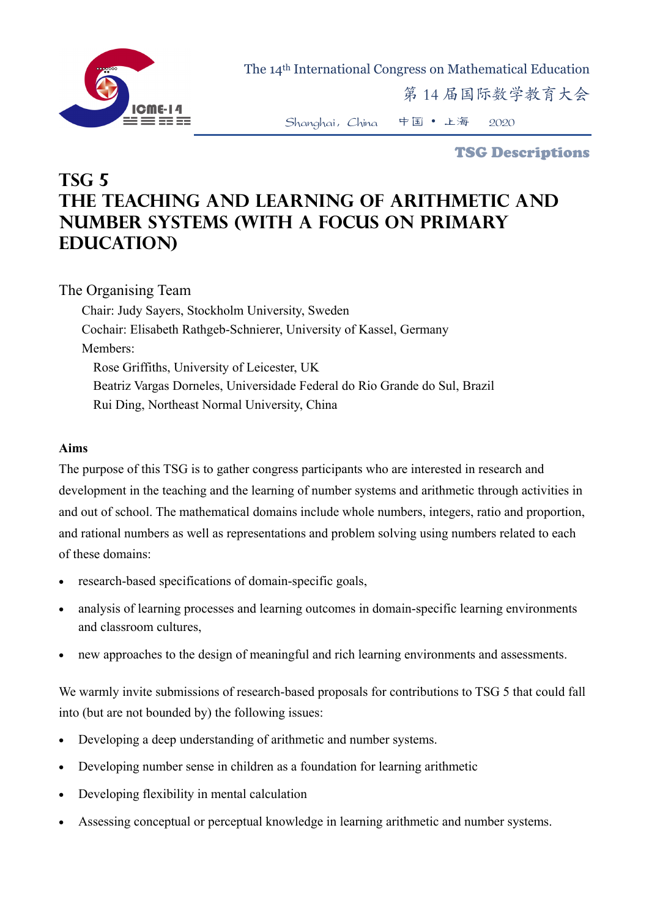

The 14th International Congress on Mathematical Education

第 14 届国际数学教育大会

Shanghai,China 中国 • 上海 2020

TSG Descriptions

## **TSG 5 The Teaching and Learning of Arithmetic and Number Systems (with a focus on primary education)**

## The Organising Team

Chair: Judy Sayers, Stockholm University, Sweden Cochair: Elisabeth Rathgeb-Schnierer, University of Kassel, Germany Members: Rose Griffiths, University of Leicester, UK Beatriz Vargas Dorneles, Universidade Federal do Rio Grande do Sul, Brazil Rui Ding, Northeast Normal University, China

## **Aims**

The purpose of this TSG is to gather congress participants who are interested in research and development in the teaching and the learning of number systems and arithmetic through activities in and out of school. The mathematical domains include whole numbers, integers, ratio and proportion, and rational numbers as well as representations and problem solving using numbers related to each of these domains:

- research-based specifications of domain-specific goals,
- analysis of learning processes and learning outcomes in domain-specific learning environments and classroom cultures,
- new approaches to the design of meaningful and rich learning environments and assessments.

We warmly invite submissions of research-based proposals for contributions to TSG 5 that could fall into (but are not bounded by) the following issues:

- Developing a deep understanding of arithmetic and number systems.
- Developing number sense in children as a foundation for learning arithmetic
- Developing flexibility in mental calculation
- Assessing conceptual or perceptual knowledge in learning arithmetic and number systems.